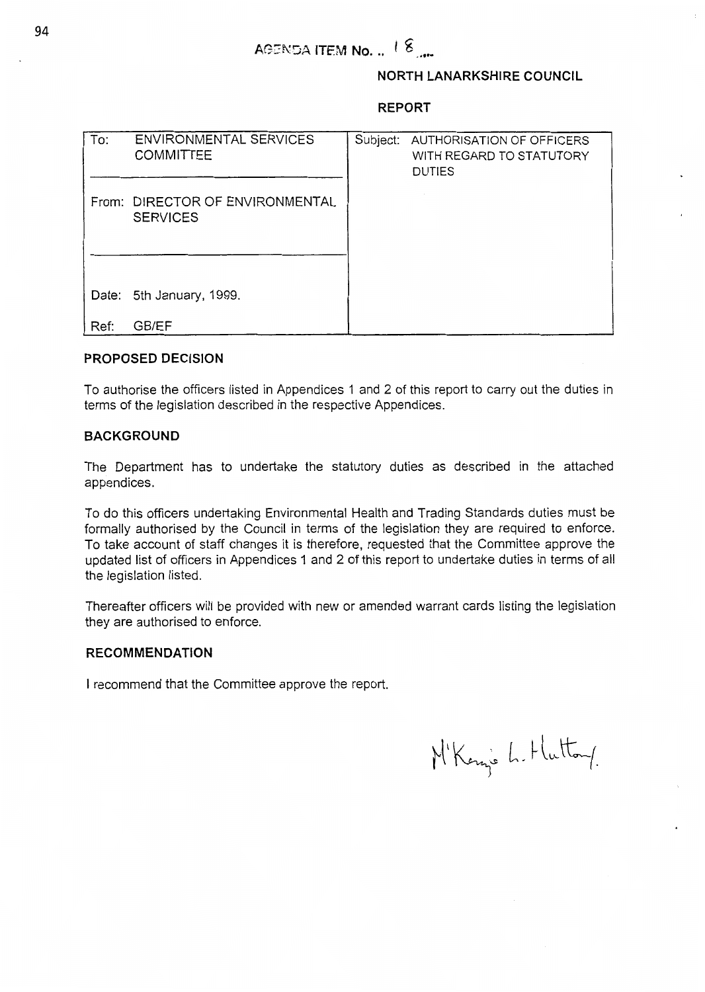# **NORTH LANARKSHIRE COUNCIL**

### **REPORT**

| To:  | ENVIRONMENTAL SERVICES<br><b>COMMITTEE</b>         | Subject: AUTHORISATION OF OFFICERS<br>WITH REGARD TO STATUTORY<br><b>DUTIES</b> |
|------|----------------------------------------------------|---------------------------------------------------------------------------------|
|      | From: DIRECTOR OF ENVIRONMENTAL<br><b>SERVICES</b> |                                                                                 |
|      |                                                    |                                                                                 |
|      | Date: 5th January, 1999.                           |                                                                                 |
| Ref: | GB/EF                                              |                                                                                 |

## **PROPOSED DECISION**

To authorise the officers listed in Appendices 1 and 2 of this report to carry out the duties in terms of the legislation described in the respective Appendices.

## **BACKGROUND**

The Department has to undertake the statutory duties as described in the attached appendices .

To do this officers undertaking Environmental Health and Trading Standards duties must be formally authorised by the Council in terms of the legislation they are required to enforce. To take account of staff changes it is therefore, requested that the Committee approve the updated list of officers in Appendices 1 and 2 of this report to undertake duties in terms of all the legislation listed.

Thereafter officers will be provided with new or amended warrant cards listing the legislation they are authorised to enforce.

#### **RECOMMENDATION**

I recommend that the Committee approve the report.

M'Kenne L. Huttong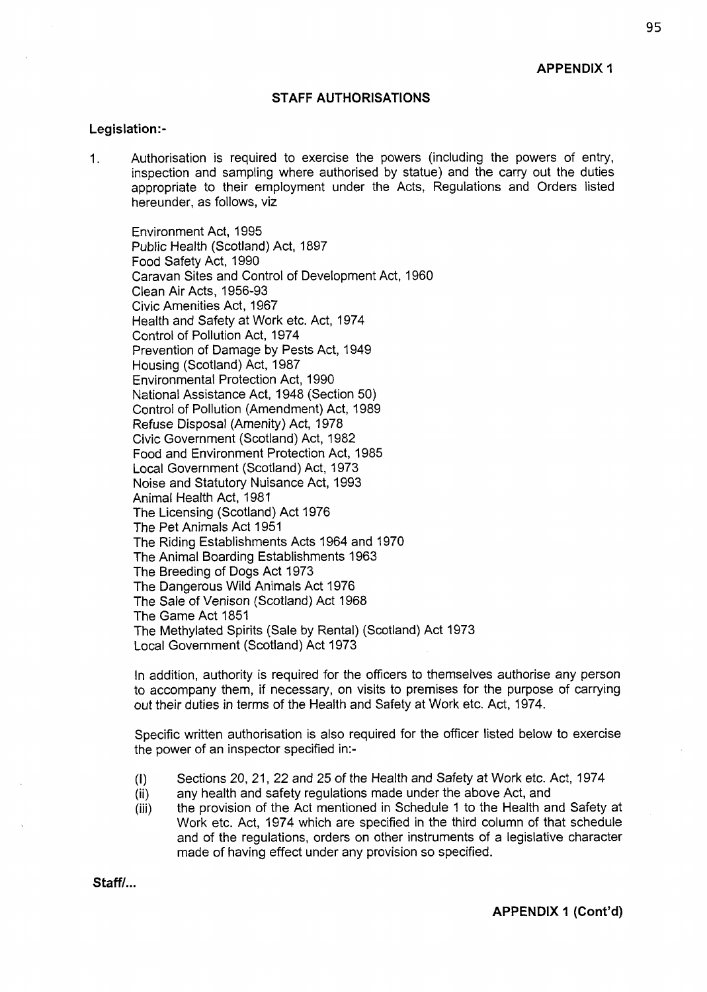#### **STAFF AUTHORISATIONS**

#### **Legislation:-**

1. Authorisation is required to exercise the powers (including the powers of entry, inspection and sampling where authorised by statue) and the carry out the duties appropriate to their employment under the Acts, Regulations and Orders listed hereunder, as follows, viz

Environment Act, 1995 Public Health (Scotland) Act, 1897 Food Safety Act, 1990 Caravan Sites and Control of Development Act, 1960 Clean Air Acts, 1956-93 Civic Amenities Act, 1967 Health and Safety at Work etc. Act, 1974 Control of Pollution Act, 1974 Prevention of Damage by Pests Act, 1949 Housing (Scotland) Act, 1987 Environmental Protection Act, 1990 National Assistance Act, 1948 (Section 50) Control of Pollution (Amendment) Act, 1989 Refuse Disposal (Amenity) Act, 1978 Civic Government (Scotland) Act, 1982 Food and Environment Protection Act, 1985 Local Government (Scotland) Act, 1973 Noise and Statutory Nuisance Act, 1993 Animal Health Act, 1981 The Licensing (Scotland) Act 1976 The Pet Animals Act 1951 The Riding Establishments Acts 1964 and 1970 The Animal Boarding Establishments 1963 The Breeding of Dogs Act 1973 The Dangerous Wild Animals Act 1976 The Sale of Venison (Scotland) Act 1968 The Game Act 1851 The Methylated Spirits (Sale by Rental) (Scotland) Act 1973 Local Government (Scotland) Act 1973

In addition, authority is required for the officers to themselves authorise any person to accompany them, if necessary, on visits to premises for the purpose of carrying out their duties in terms of the Health and Safety at Work etc. Act, 1974.

Specific written authorisation is also required for the officer listed below to exercise the power of an inspector specified in:-

- (I) Sections 20, 21, 22 and 25 of the Health and Safety at Work etc. Act, 1974
- (ii) any health and safety regulations made under the above Act, and
- (iii) the provision of the Act mentioned in Schedule 1 to the Health and Safety at Work etc. Act, 1974 which are specified in the third column of that schedule and of the regulations, orders on other instruments of a legislative character made of having effect under any provision so specified.

Staff/...

**APPENDIX** *I* **(Cont'd)**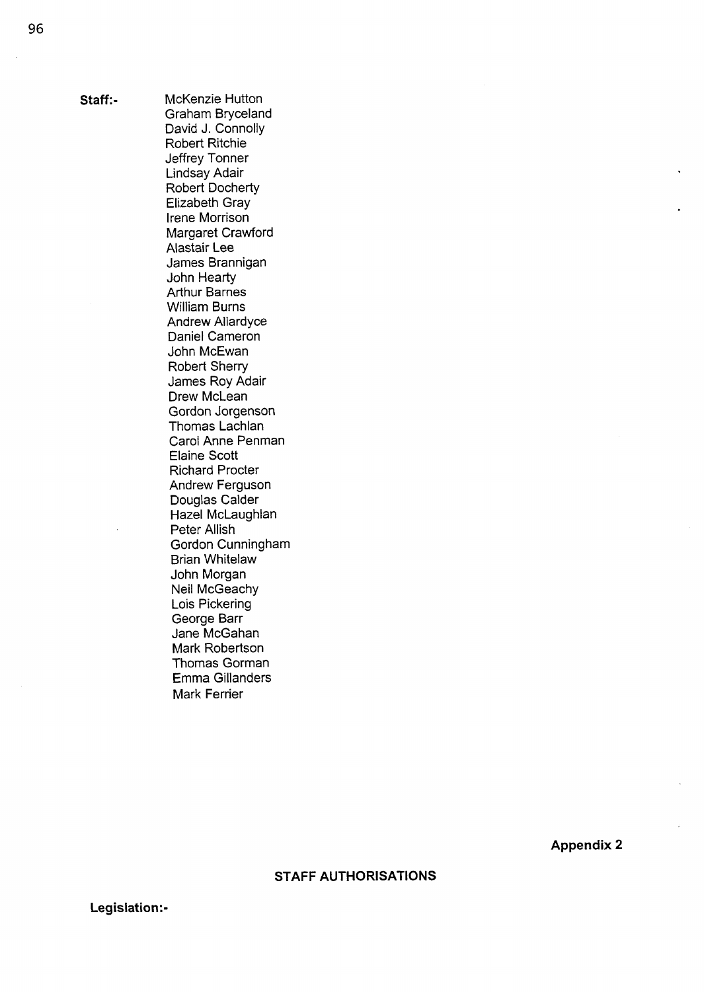**Staff:-** McKenzie Hutton Graham Bryceland David J. Connolly Robert Ritchie Jeffrey Tonner Lindsay Adair Robert Docherty Elizabeth Gray lrene Morrison Margaret Crawford Alastair Lee James Brannigan John Hearty Arthur Barnes William Burns **Andrew Allardyce** Daniel Cameron John McEwan Robert Sherry James Roy Adair Drew McLean Gordon Jorgenson Thomas Lachlan Carol Anne Penman Elaine Scott Richard Procter Andrew Ferguson Douglas Calder Hazel McLaughlan Peter Allish Gordon Cunningham Brian Whitelaw John Morgan Neil McGeachy Lois Pickering George Barr Jane McGahan Mark Robertson Thomas Gorman Emma Gillanders Mark Ferrier

**Appendix 2** 

**STAFF AUTHORISATIONS** 

**Legislation:-**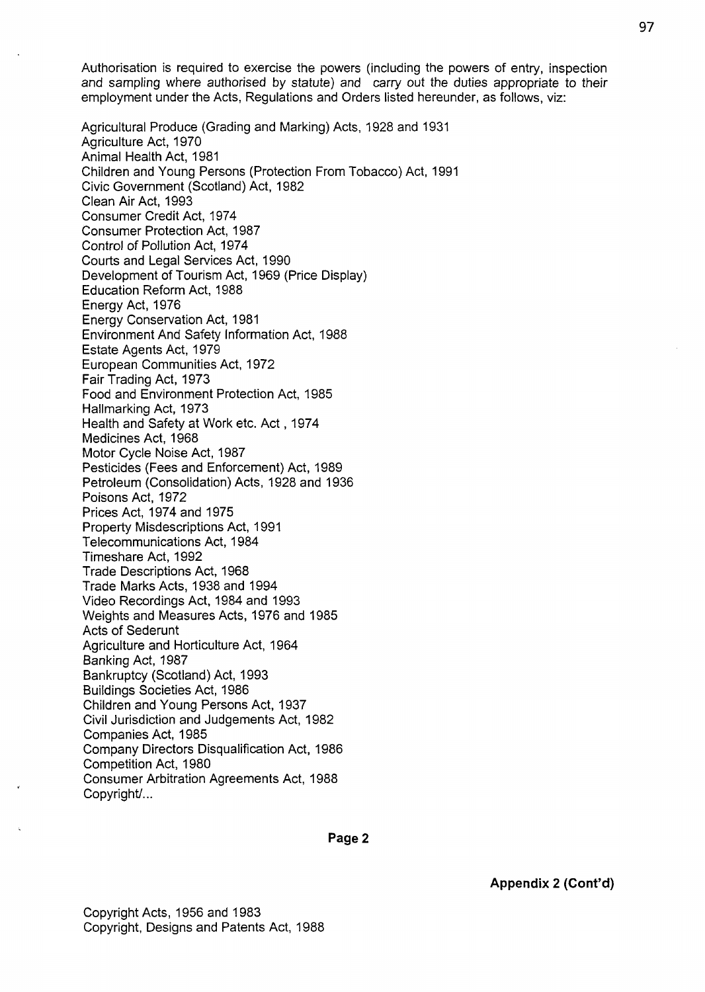Authorisation is required to exercise the powers (including the powers of entry, inspection and sampling where authorised by statute) and carry out the duties appropriate to their employment under the Acts, Regulations and Orders listed hereunder, as follows, viz:

Agricultural Produce (Grading and Marking) Acts, 1928 and 1931 Agriculture Act, 1970 Animal Health Act, 1981 Children and Young Persons (Protection From Tobacco) Act, 1991 Civic Government (Scotland) Act, 1982 Clean Air Act, 1993 Consumer Credit Act, 1974 Consumer Protection Act, 1987 Control of Pollution Act, 1974 Courts and Legal Services Act, 1990 Development of Tourism Act, 1969 (Price Display) Education Reform Act, 1988 Energy Act, 1976 Energy Conservation Act, 1981 Environment And Safety Information Act, 1988 Estate Agents Act, 1979 European Communities Act, 1972 Fair Trading Act, 1973 Food and Environment Protection Act, 1985 Hallmarking Act, 1973 Health and Safety at Work etc. Act , 1974 Medicines Act, 1968 Motor Cycle Noise Act, 1987 Pesticides (Fees and Enforcement) Act, 1989 Petroleum (Consolidation) Acts, 1928 and 1936 Poisons Act, 1972 Prices Act, 1974 and 1975 Property Misdescriptions Act, 1991 Telecommunications Act, 1984 Timeshare Act, 1992 Trade Descriptions Act, 1968 Trade Marks Acts, 1938 and 1994 Video Recordings Act, 1984 and 1993 Weights and Measures Acts, 1976 and 1985 Acts of Sederunt Agriculture and Horticulture Act, 1964 Banking Act, 1987 Bankruptcy (Scotland) Act, 1993 Buildings Societies Act, 1986 Children and Young Persons Act, 1937 Civil Jurisdiction and Judgements Act, 1982 Companies Act, 1985 Company Directors Disqualification Act, 1986 Competition Act, 1980 Consumer Arbitration Agreements Act, 1988 Copyright/...

**Appendix 2 (Cont'd)**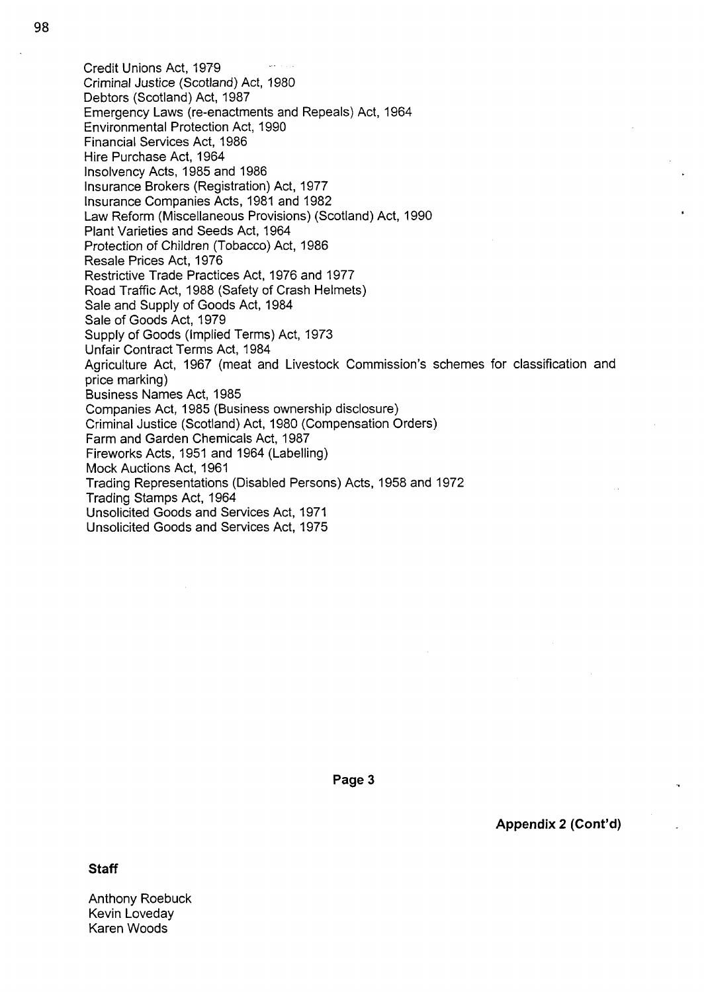Credit Unions Act, 1979 Criminal Justice (Scotland) Act, 1980 Debtors (Scotland) Act, 1987 Emergency Laws (re-enactments and Repeals) Act, 1964 Environmental Protection Act, 1990 Financial Services Act, 1986 Hire Purchase Act, 1964 Insolvency Acts, 1985 and 1986 Insurance Brokers (Registration) Act, 1977 Insurance Companies Acts, 1981 and 1982 Law Reform (Miscellaneous Provisions) (Scotland) Act, 1990 Plant Varieties and Seeds Act, 1964 Protection of Children (Tobacco) Act, 1986 Resale Prices Act, 1976 Restrictive Trade Practices Act, 1976 and 1977 Road Traffic Act, 1988 (Safety of Crash Helmets) Sale and Supply of Goods Act, 1984 Sale of Goods Act, 1979 Supply of Goods (Implied Terms) Act, 1973 Unfair Contract Terms Act, 1984 Agriculture Act, 1967 (meat and Livestock Commission's schemes for classification and price marking) Business Names Act, 1985 Companies Act, 1985 (Business ownership disclosure) Criminal Justice (Scotland) Act, 1980 (Compensation Orders) Farm and Garden Chemicals Act, 1987 Fireworks Acts, 1951 and 1964 (Labelling) Mock Auctions Act, 1961 Trading Representations (Disabled Persons) Acts, 1958 and 1972 Trading Stamps Act, 1964 Unsolicited Goods and Services Act, 1971 Unsolicited Goods and Services Act, 1975

**Page 3** 

**Appendix 2 (Cont'd)** 

**Staff** 

Anthony Roebuck Kevin Loveday Karen Woods